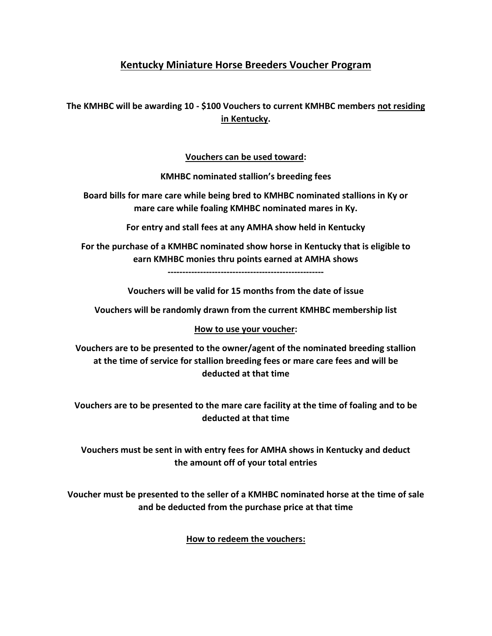# **Kentucky Miniature Horse Breeders Voucher Program**

**The KMHBC will be awarding 10 - \$100 Vouchers to current KMHBC members not residing in Kentucky.**

## **Vouchers can be used toward:**

**KMHBC nominated stallion's breeding fees**

**Board bills for mare care while being bred to KMHBC nominated stallions in Ky or mare care while foaling KMHBC nominated mares in Ky.**

**For entry and stall fees at any AMHA show held in Kentucky**

**For the purchase of a KMHBC nominated show horse in Kentucky that is eligible to earn KMHBC monies thru points earned at AMHA shows**

**-----------------------------------------------------**

**Vouchers will be valid for 15 months from the date of issue**

**Vouchers will be randomly drawn from the current KMHBC membership list**

#### **How to use your voucher:**

**Vouchers are to be presented to the owner/agent of the nominated breeding stallion at the time of service for stallion breeding fees or mare care fees and will be deducted at that time**

**Vouchers are to be presented to the mare care facility at the time of foaling and to be deducted at that time**

**Vouchers must be sent in with entry fees for AMHA shows in Kentucky and deduct the amount off of your total entries**

**Voucher must be presented to the seller of a KMHBC nominated horse at the time of sale and be deducted from the purchase price at that time**

## **How to redeem the vouchers:**